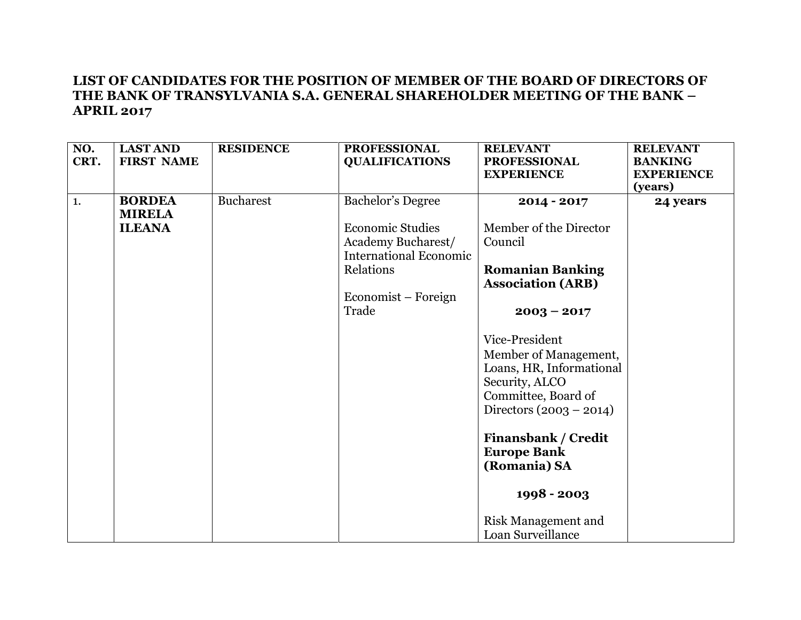| NO.<br>CRT. | <b>LAST AND</b><br><b>FIRST NAME</b> | <b>RESIDENCE</b> | <b>PROFESSIONAL</b><br><b>QUALIFICATIONS</b>                                                                                       | <b>RELEVANT</b><br><b>PROFESSIONAL</b><br><b>EXPERIENCE</b>                                                                               | <b>RELEVANT</b><br><b>BANKING</b><br><b>EXPERIENCE</b> |
|-------------|--------------------------------------|------------------|------------------------------------------------------------------------------------------------------------------------------------|-------------------------------------------------------------------------------------------------------------------------------------------|--------------------------------------------------------|
|             |                                      |                  |                                                                                                                                    |                                                                                                                                           | (years)                                                |
| 1.          | <b>BORDEA</b><br><b>MIRELA</b>       | <b>Bucharest</b> | <b>Bachelor's Degree</b>                                                                                                           | 2014 - 2017                                                                                                                               | 24 years                                               |
|             | <b>ILEANA</b>                        |                  | <b>Economic Studies</b><br><b>Academy Bucharest/</b><br><b>International Economic</b><br>Relations<br>Economist – Foreign<br>Trade | Member of the Director<br>Council<br><b>Romanian Banking</b><br><b>Association (ARB)</b><br>$2003 - 2017$                                 |                                                        |
|             |                                      |                  |                                                                                                                                    | Vice-President<br>Member of Management,<br>Loans, HR, Informational<br>Security, ALCO<br>Committee, Board of<br>Directors $(2003 - 2014)$ |                                                        |
|             |                                      |                  |                                                                                                                                    | <b>Finansbank / Credit</b><br><b>Europe Bank</b><br>(Romania) SA                                                                          |                                                        |
|             |                                      |                  |                                                                                                                                    | 1998 - 2003<br><b>Risk Management and</b><br>Loan Surveillance                                                                            |                                                        |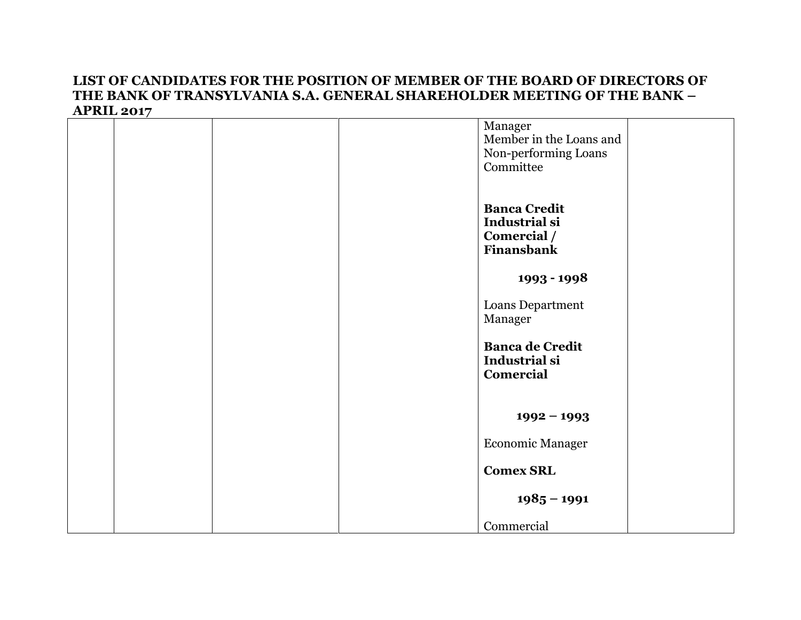|  |  | Manager                 |  |
|--|--|-------------------------|--|
|  |  | Member in the Loans and |  |
|  |  |                         |  |
|  |  | Non-performing Loans    |  |
|  |  | Committee               |  |
|  |  |                         |  |
|  |  |                         |  |
|  |  |                         |  |
|  |  | <b>Banca Credit</b>     |  |
|  |  | Industrial si           |  |
|  |  |                         |  |
|  |  | Comercial /             |  |
|  |  | Finansbank              |  |
|  |  |                         |  |
|  |  | 1993 - 1998             |  |
|  |  |                         |  |
|  |  | Loans Department        |  |
|  |  |                         |  |
|  |  | Manager                 |  |
|  |  |                         |  |
|  |  | <b>Banca de Credit</b>  |  |
|  |  | Industrial si           |  |
|  |  |                         |  |
|  |  | Comercial               |  |
|  |  |                         |  |
|  |  |                         |  |
|  |  |                         |  |
|  |  | $1992 - 1993$           |  |
|  |  |                         |  |
|  |  | <b>Economic Manager</b> |  |
|  |  |                         |  |
|  |  | <b>Comex SRL</b>        |  |
|  |  |                         |  |
|  |  |                         |  |
|  |  | $1985 - 1991$           |  |
|  |  |                         |  |
|  |  | Commercial              |  |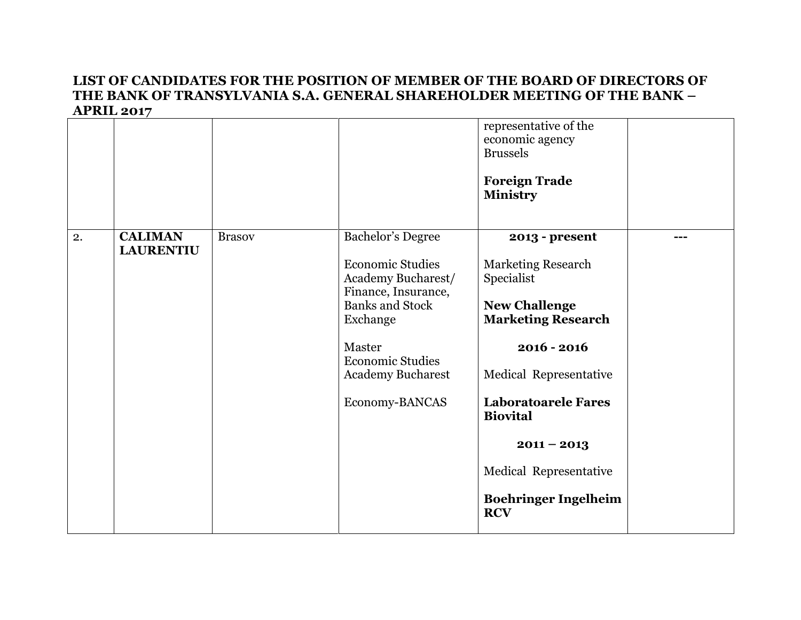|    |                  |               |                                                                      | representative of the<br>economic agency<br><b>Brussels</b> |     |
|----|------------------|---------------|----------------------------------------------------------------------|-------------------------------------------------------------|-----|
|    |                  |               |                                                                      | <b>Foreign Trade</b><br><b>Ministry</b>                     |     |
| 2. | <b>CALIMAN</b>   | <b>Brasov</b> | <b>Bachelor's Degree</b>                                             | 2013 - present                                              | --- |
|    | <b>LAURENTIU</b> |               | <b>Economic Studies</b><br>Academy Bucharest/<br>Finance, Insurance, | <b>Marketing Research</b><br>Specialist                     |     |
|    |                  |               | <b>Banks and Stock</b><br>Exchange                                   | <b>New Challenge</b><br><b>Marketing Research</b>           |     |
|    |                  |               | Master<br><b>Economic Studies</b>                                    | $2016 - 2016$                                               |     |
|    |                  |               | <b>Academy Bucharest</b>                                             | Medical Representative                                      |     |
|    |                  |               | Economy-BANCAS                                                       | <b>Laboratoarele Fares</b><br><b>Biovital</b>               |     |
|    |                  |               |                                                                      | $2011 - 2013$                                               |     |
|    |                  |               |                                                                      | Medical Representative                                      |     |
|    |                  |               |                                                                      | <b>Boehringer Ingelheim</b><br><b>RCV</b>                   |     |
|    |                  |               |                                                                      |                                                             |     |